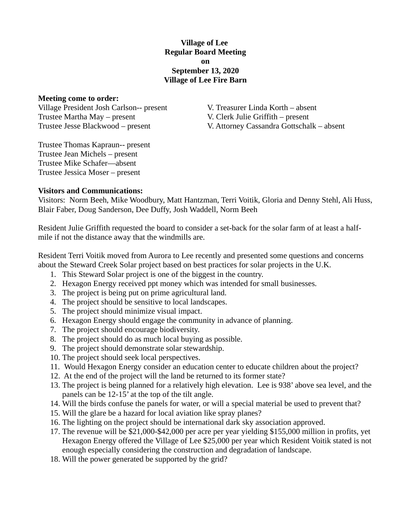## **Village of Lee Regular Board Meeting on September 13, 2020 Village of Lee Fire Barn**

#### **Meeting come to order:**

Village President Josh Carlson-- present V. Treasurer Linda Korth – absent Trustee Martha May – present V. Clerk Julie Griffith – present

Trustee Jesse Blackwood – present V. Attorney Cassandra Gottschalk – absent

Trustee Thomas Kapraun-- present Trustee Jean Michels – present Trustee Mike Schafer—absent Trustee Jessica Moser – present

#### **Visitors and Communications:**

Visitors: Norm Beeh, Mike Woodbury, Matt Hantzman, Terri Voitik, Gloria and Denny Stehl, Ali Huss, Blair Faber, Doug Sanderson, Dee Duffy, Josh Waddell, Norm Beeh

Resident Julie Griffith requested the board to consider a set-back for the solar farm of at least a halfmile if not the distance away that the windmills are.

Resident Terri Voitik moved from Aurora to Lee recently and presented some questions and concerns about the Steward Creek Solar project based on best practices for solar projects in the U.K.

- 1. This Steward Solar project is one of the biggest in the country.
- 2. Hexagon Energy received ppt money which was intended for small businesses.
- 3. The project is being put on prime agricultural land.
- 4. The project should be sensitive to local landscapes.
- 5. The project should minimize visual impact.
- 6. Hexagon Energy should engage the community in advance of planning.
- 7. The project should encourage biodiversity.
- 8. The project should do as much local buying as possible.
- 9. The project should demonstrate solar stewardship.
- 10. The project should seek local perspectives.
- 11. Would Hexagon Energy consider an education center to educate children about the project?
- 12. At the end of the project will the land be returned to its former state?
- 13. The project is being planned for a relatively high elevation. Lee is 938' above sea level, and the panels can be 12-15' at the top of the tilt angle.
- 14. Will the birds confuse the panels for water, or will a special material be used to prevent that?
- 15. Will the glare be a hazard for local aviation like spray planes?
- 16. The lighting on the project should be international dark sky association approved.
- 17. The revenue will be \$21,000-\$42,000 per acre per year yielding \$155,000 million in profits, yet Hexagon Energy offered the Village of Lee \$25,000 per year which Resident Voitik stated is not enough especially considering the construction and degradation of landscape.
- 18. Will the power generated be supported by the grid?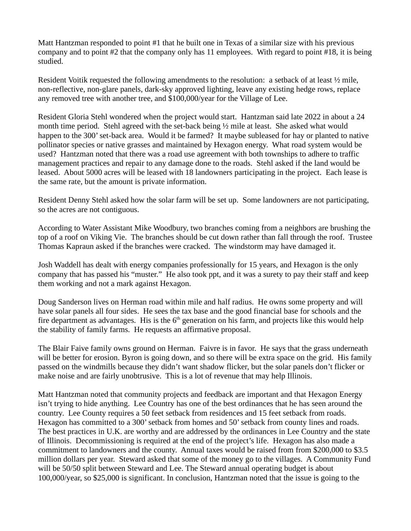Matt Hantzman responded to point #1 that he built one in Texas of a similar size with his previous company and to point #2 that the company only has 11 employees. With regard to point #18, it is being studied.

Resident Voitik requested the following amendments to the resolution: a setback of at least  $\frac{1}{2}$  mile, non-reflective, non-glare panels, dark-sky approved lighting, leave any existing hedge rows, replace any removed tree with another tree, and \$100,000/year for the Village of Lee.

Resident Gloria Stehl wondered when the project would start. Hantzman said late 2022 in about a 24 month time period. Stehl agreed with the set-back being  $\frac{1}{2}$  mile at least. She asked what would happen to the 300' set-back area. Would it be farmed? It maybe subleased for hay or planted to native pollinator species or native grasses and maintained by Hexagon energy. What road system would be used? Hantzman noted that there was a road use agreement with both townships to adhere to traffic management practices and repair to any damage done to the roads. Stehl asked if the land would be leased. About 5000 acres will be leased with 18 landowners participating in the project. Each lease is the same rate, but the amount is private information.

Resident Denny Stehl asked how the solar farm will be set up. Some landowners are not participating, so the acres are not contiguous.

According to Water Assistant Mike Woodbury, two branches coming from a neighbors are brushing the top of a roof on Viking Vie. The branches should be cut down rather than fall through the roof. Trustee Thomas Kapraun asked if the branches were cracked. The windstorm may have damaged it.

Josh Waddell has dealt with energy companies professionally for 15 years, and Hexagon is the only company that has passed his "muster." He also took ppt, and it was a surety to pay their staff and keep them working and not a mark against Hexagon.

Doug Sanderson lives on Herman road within mile and half radius. He owns some property and will have solar panels all four sides. He sees the tax base and the good financial base for schools and the fire department as advantages. His is the  $6<sup>th</sup>$  generation on his farm, and projects like this would help the stability of family farms. He requests an affirmative proposal.

The Blair Faive family owns ground on Herman. Faivre is in favor. He says that the grass underneath will be better for erosion. Byron is going down, and so there will be extra space on the grid. His family passed on the windmills because they didn't want shadow flicker, but the solar panels don't flicker or make noise and are fairly unobtrusive. This is a lot of revenue that may help Illinois.

Matt Hantzman noted that community projects and feedback are important and that Hexagon Energy isn't trying to hide anything. Lee Country has one of the best ordinances that he has seen around the country. Lee County requires a 50 feet setback from residences and 15 feet setback from roads. Hexagon has committed to a 300' setback from homes and 50' setback from county lines and roads. The best practices in U.K. are worthy and are addressed by the ordinances in Lee Country and the state of Illinois. Decommissioning is required at the end of the project's life. Hexagon has also made a commitment to landowners and the county. Annual taxes would be raised from from \$200,000 to \$3.5 million dollars per year. Steward asked that some of the money go to the villages. A Community Fund will be 50/50 split between Steward and Lee. The Steward annual operating budget is about 100,000/year, so \$25,000 is significant. In conclusion, Hantzman noted that the issue is going to the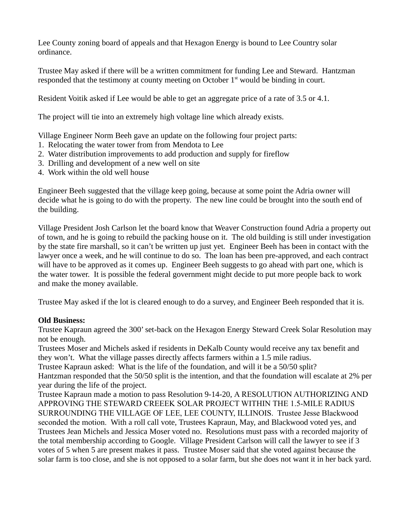Lee County zoning board of appeals and that Hexagon Energy is bound to Lee Country solar ordinance.

Trustee May asked if there will be a written commitment for funding Lee and Steward. Hantzman responded that the testimony at county meeting on October 1<sup>st</sup> would be binding in court.

Resident Voitik asked if Lee would be able to get an aggregate price of a rate of 3.5 or 4.1.

The project will tie into an extremely high voltage line which already exists.

Village Engineer Norm Beeh gave an update on the following four project parts:

- 1. Relocating the water tower from from Mendota to Lee
- 2. Water distribution improvements to add production and supply for fireflow
- 3. Drilling and development of a new well on site
- 4. Work within the old well house

Engineer Beeh suggested that the village keep going, because at some point the Adria owner will decide what he is going to do with the property. The new line could be brought into the south end of the building.

Village President Josh Carlson let the board know that Weaver Construction found Adria a property out of town, and he is going to rebuild the packing house on it. The old building is still under investigation by the state fire marshall, so it can't be written up just yet. Engineer Beeh has been in contact with the lawyer once a week, and he will continue to do so. The loan has been pre-approved, and each contract will have to be approved as it comes up. Engineer Beeh suggests to go ahead with part one, which is the water tower. It is possible the federal government might decide to put more people back to work and make the money available.

Trustee May asked if the lot is cleared enough to do a survey, and Engineer Beeh responded that it is.

# **Old Business:**

Trustee Kapraun agreed the 300' set-back on the Hexagon Energy Steward Creek Solar Resolution may not be enough.

Trustees Moser and Michels asked if residents in DeKalb County would receive any tax benefit and they won't. What the village passes directly affects farmers within a 1.5 mile radius.

Trustee Kapraun asked: What is the life of the foundation, and will it be a 50/50 split? Hantzman responded that the 50/50 split is the intention, and that the foundation will escalate at 2% per year during the life of the project.

Trustee Kapraun made a motion to pass Resolution 9-14-20, A RESOLUTION AUTHORIZING AND APPROVING THE STEWARD CREEEK SOLAR PROJECT WITHIN THE 1.5-MILE RADIUS SURROUNDING THE VILLAGE OF LEE, LEE COUNTY, ILLINOIS. Trustee Jesse Blackwood seconded the motion. With a roll call vote, Trustees Kapraun, May, and Blackwood voted yes, and Trustees Jean Michels and Jessica Moser voted no. Resolutions must pass with a recorded majority of the total membership according to Google. Village President Carlson will call the lawyer to see if 3 votes of 5 when 5 are present makes it pass. Trustee Moser said that she voted against because the solar farm is too close, and she is not opposed to a solar farm, but she does not want it in her back yard.